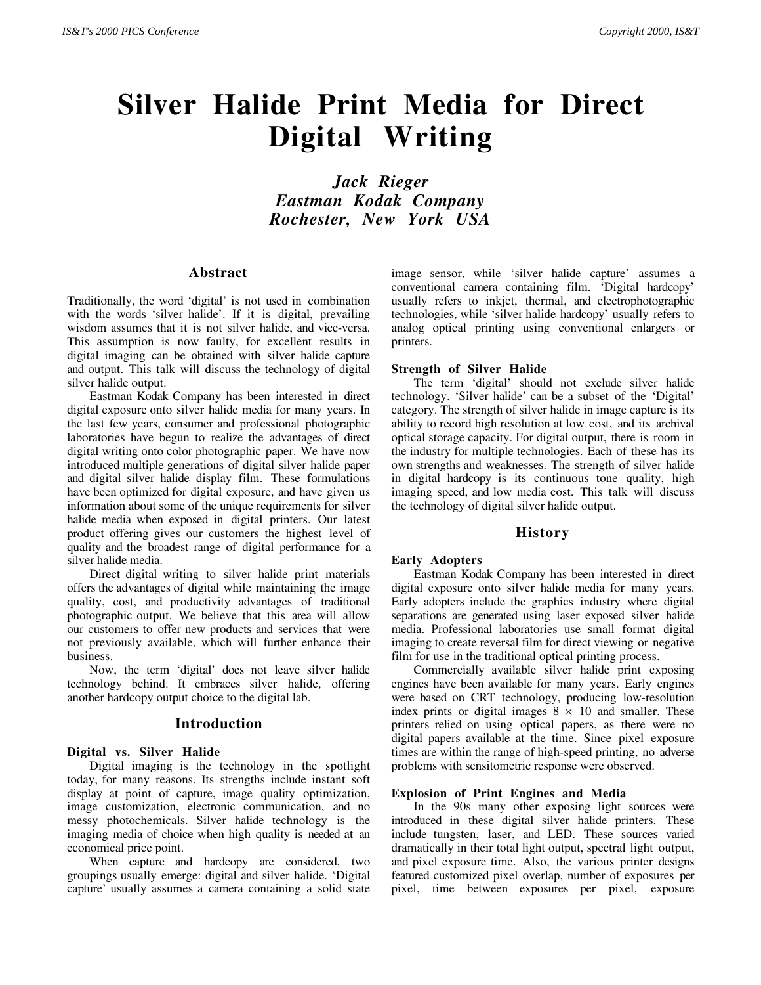# **Silver Halide Print Media for Direct Digital Writing**

*Jack Rieger Eastman Kodak Company Rochester, New York USA*

## **Abstract**

Traditionally, the word 'digital' is not used in combination with the words 'silver halide'. If it is digital, prevailing wisdom assumes that it is not silver halide, and vice-versa. This assumption is now faulty, for excellent results in digital imaging can be obtained with silver halide capture and output. This talk will discuss the technology of digital silver halide output.

Eastman Kodak Company has been interested in direct digital exposure onto silver halide media for many years. In the last few years, consumer and professional photographic laboratories have begun to realize the advantages of direct digital writing onto color photographic paper. We have now introduced multiple generations of digital silver halide paper and digital silver halide display film. These formulations have been optimized for digital exposure, and have given us information about some of the unique requirements for silver halide media when exposed in digital printers. Our latest product offering gives our customers the highest level of quality and the broadest range of digital performance for a silver halide media.

Direct digital writing to silver halide print materials offers the advantages of digital while maintaining the image quality, cost, and productivity advantages of traditional photographic output. We believe that this area will allow our customers to offer new products and services that were not previously available, which will further enhance their business.

Now, the term 'digital' does not leave silver halide technology behind. It embraces silver halide, offering another hardcopy output choice to the digital lab.

### **Introduction**

#### **Digital vs. Silver Halide**

Digital imaging is the technology in the spotlight today, for many reasons. Its strengths include instant soft display at point of capture, image quality optimization, image customization, electronic communication, and no messy photochemicals. Silver halide technology is the imaging media of choice when high quality is needed at an economical price point.

When capture and hardcopy are considered, two groupings usually emerge: digital and silver halide. 'Digital capture' usually assumes a camera containing a solid state image sensor, while 'silver halide capture' assumes a conventional camera containing film. 'Digital hardcopy' usually refers to inkjet, thermal, and electrophotographic technologies, while 'silver halide hardcopy' usually refers to analog optical printing using conventional enlargers or printers.

#### **Strength of Silver Halide**

The term 'digital' should not exclude silver halide technology. 'Silver halide' can be a subset of the 'Digital' category. The strength of silver halide in image capture is its ability to record high resolution at low cost, and its archival optical storage capacity. For digital output, there is room in the industry for multiple technologies. Each of these has its own strengths and weaknesses. The strength of silver halide in digital hardcopy is its continuous tone quality, high imaging speed, and low media cost. This talk will discuss the technology of digital silver halide output.

## **History**

#### **Early Adopters**

Eastman Kodak Company has been interested in direct digital exposure onto silver halide media for many years. Early adopters include the graphics industry where digital separations are generated using laser exposed silver halide media. Professional laboratories use small format digital imaging to create reversal film for direct viewing or negative film for use in the traditional optical printing process.

Commercially available silver halide print exposing engines have been available for many years. Early engines were based on CRT technology, producing low-resolution index prints or digital images  $8 \times 10$  and smaller. These printers relied on using optical papers, as there were no digital papers available at the time. Since pixel exposure times are within the range of high-speed printing, no adverse problems with sensitometric response were observed.

#### **Explosion of Print Engines and Media**

In the 90s many other exposing light sources were introduced in these digital silver halide printers. These include tungsten, laser, and LED. These sources varied dramatically in their total light output, spectral light output, and pixel exposure time. Also, the various printer designs featured customized pixel overlap, number of exposures per pixel, time between exposures per pixel, exposure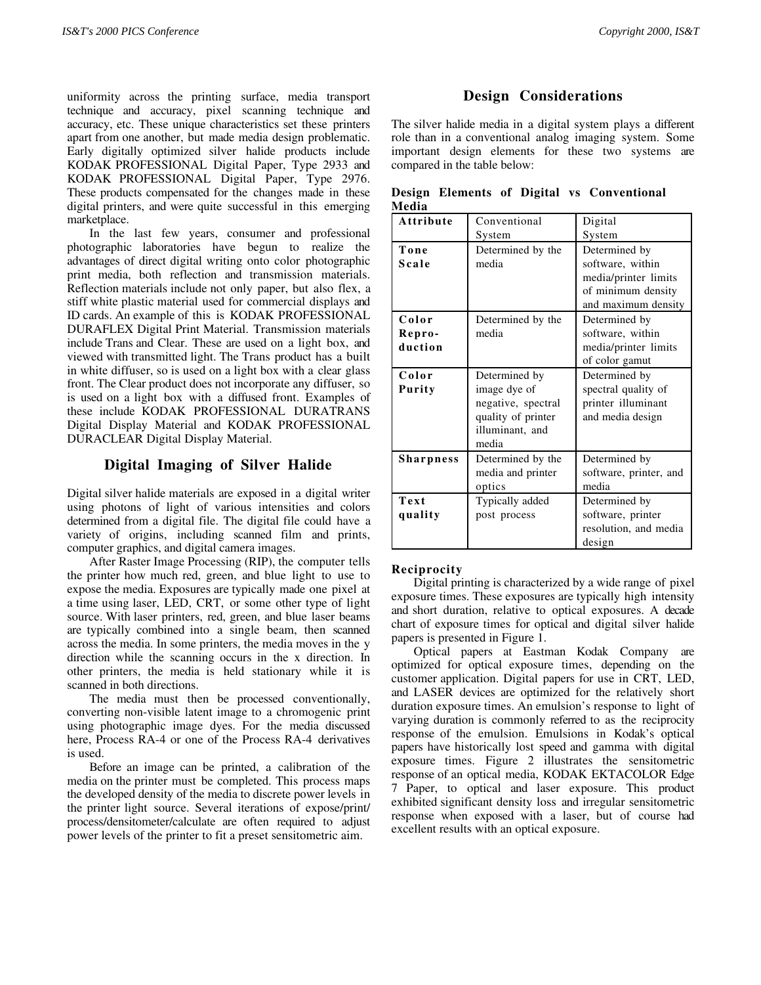uniformity across the printing surface, media transport technique and accuracy, pixel scanning technique and accuracy, etc. These unique characteristics set these printers apart from one another, but made media design problematic. Early digitally optimized silver halide products include KODAK PROFESSIONAL Digital Paper, Type 2933 and KODAK PROFESSIONAL Digital Paper, Type 2976. These products compensated for the changes made in these digital printers, and were quite successful in this emerging marketplace.

In the last few years, consumer and professional photographic laboratories have begun to realize the advantages of direct digital writing onto color photographic print media, both reflection and transmission materials. Reflection materials include not only paper, but also flex, a stiff white plastic material used for commercial displays and ID cards. An example of this is KODAK PROFESSIONAL DURAFLEX Digital Print Material. Transmission materials include Trans and Clear. These are used on a light box, and viewed with transmitted light. The Trans product has a built in white diffuser, so is used on a light box with a clear glass front. The Clear product does not incorporate any diffuser, so is used on a light box with a diffused front. Examples of these include KODAK PROFESSIONAL DURATRANS Digital Display Material and KODAK PROFESSIONAL DURACLEAR Digital Display Material.

## **Digital Imaging of Silver Halide**

Digital silver halide materials are exposed in a digital writer using photons of light of various intensities and colors determined from a digital file. The digital file could have a variety of origins, including scanned film and prints, computer graphics, and digital camera images.

After Raster Image Processing (RIP), the computer tells the printer how much red, green, and blue light to use to expose the media. Exposures are typically made one pixel at a time using laser, LED, CRT, or some other type of light source. With laser printers, red, green, and blue laser beams are typically combined into a single beam, then scanned across the media. In some printers, the media moves in the y direction while the scanning occurs in the x direction. In other printers, the media is held stationary while it is scanned in both directions.

The media must then be processed conventionally, converting non-visible latent image to a chromogenic print using photographic image dyes. For the media discussed here, Process RA-4 or one of the Process RA-4 derivatives is used.

Before an image can be printed, a calibration of the media on the printer must be completed. This process maps the developed density of the media to discrete power levels in the printer light source. Several iterations of expose/print/ process/densitometer/calculate are often required to adjust power levels of the printer to fit a preset sensitometric aim.

# **Design Considerations**

The silver halide media in a digital system plays a different role than in a conventional analog imaging system. Some important design elements for these two systems are compared in the table below:

|       |  |  | Design Elements of Digital vs Conventional |
|-------|--|--|--------------------------------------------|
| Media |  |  |                                            |

| Attribute        | Conventional       | Digital                |  |
|------------------|--------------------|------------------------|--|
|                  | System             | System                 |  |
| Tone             | Determined by the  | Determined by          |  |
| Scale            | media              | software, within       |  |
|                  |                    | media/printer limits   |  |
|                  |                    | of minimum density     |  |
|                  |                    | and maximum density    |  |
| Color            | Determined by the  | Determined by          |  |
| Repro-           | media              | software, within       |  |
| duction          |                    | media/printer limits   |  |
|                  |                    | of color gamut         |  |
| Color            | Determined by      | Determined by          |  |
| Purity           | image dye of       | spectral quality of    |  |
|                  | negative, spectral | printer illuminant     |  |
|                  | quality of printer | and media design       |  |
|                  | illuminant, and    |                        |  |
|                  | media              |                        |  |
| <b>Sharpness</b> | Determined by the  | Determined by          |  |
|                  | media and printer  | software, printer, and |  |
|                  | optics             | media                  |  |
| Text             | Typically added    | Determined by          |  |
| quality          | post process       | software, printer      |  |
|                  |                    | resolution, and media  |  |
|                  |                    | design                 |  |

## **Reciprocity**

Digital printing is characterized by a wide range of pixel exposure times. These exposures are typically high intensity and short duration, relative to optical exposures. A decade chart of exposure times for optical and digital silver halide papers is presented in Figure 1.

Optical papers at Eastman Kodak Company are optimized for optical exposure times, depending on the customer application. Digital papers for use in CRT, LED, and LASER devices are optimized for the relatively short duration exposure times. An emulsion's response to light of varying duration is commonly referred to as the reciprocity response of the emulsion. Emulsions in Kodak's optical papers have historically lost speed and gamma with digital exposure times. Figure 2 illustrates the sensitometric response of an optical media, KODAK EKTACOLOR Edge 7 Paper, to optical and laser exposure. This product exhibited significant density loss and irregular sensitometric response when exposed with a laser, but of course had excellent results with an optical exposure.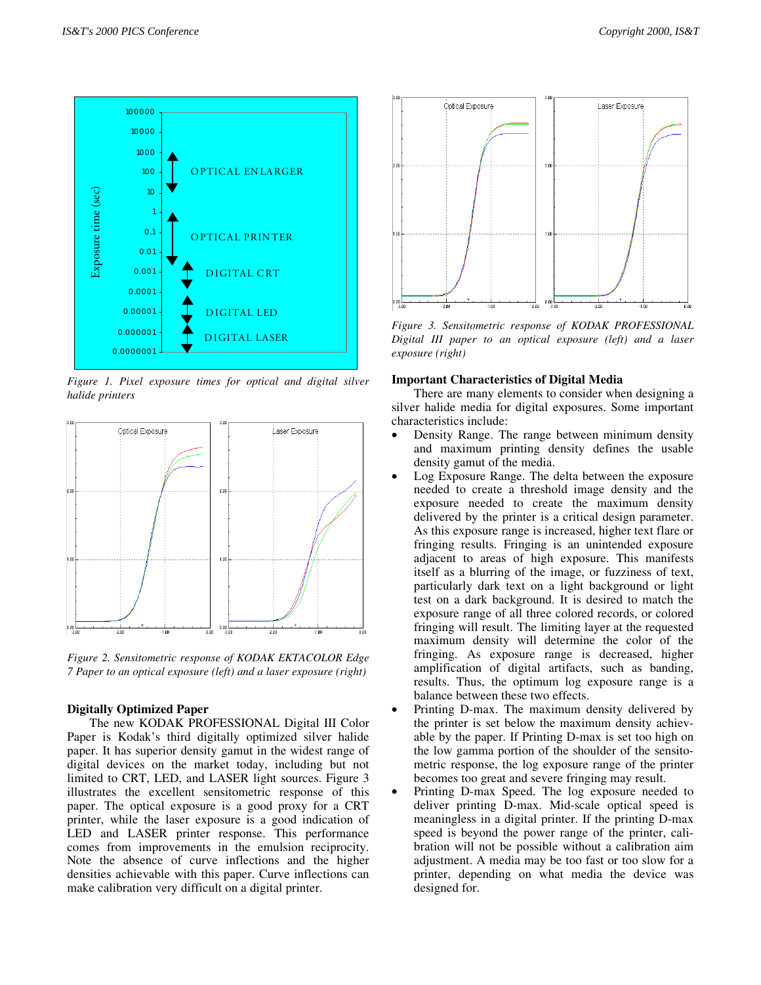

*Figure 1. Pixel exposure times for optical and digital silver halide printers* 



*Figure 2. Sensitometric response of KODAK EKTACOLOR Edge 7 Paper to an optical exposure (left) and a laser exposure (right)* 

### **Digitally Optimized Paper**

The new KODAK PROFESSIONAL Digital III Color Paper is Kodak's third digitally optimized silver halide paper. It has superior density gamut in the widest range of digital devices on the market today, including but not limited to CRT, LED, and LASER light sources. Figure 3 illustrates the excellent sensitometric response of this paper. The optical exposure is a good proxy for a CRT printer, while the laser exposure is a good indication of LED and LASER printer response. This performance comes from improvements in the emulsion reciprocity. Note the absence of curve inflections and the higher densities achievable with this paper. Curve inflections can make calibration very difficult on a digital printer.



*Figure 3. Sensitometric response of KODAK PROFESSIONAL Digital III paper to an optical exposure (left) and a laser exposure (right)* 

#### **Important Characteristics of Digital Media**

There are many elements to consider when designing a silver halide media for digital exposures. Some important characteristics include:

- Density Range. The range between minimum density and maximum printing density defines the usable density gamut of the media.
- Log Exposure Range. The delta between the exposure needed to create a threshold image density and the exposure needed to create the maximum density delivered by the printer is a critical design parameter. As this exposure range is increased, higher text flare or fringing results. Fringing is an unintended exposure adjacent to areas of high exposure. This manifests itself as a blurring of the image, or fuzziness of text, particularly dark text on a light background or light test on a dark background. It is desired to match the exposure range of all three colored records, or colored fringing will result. The limiting layer at the requested maximum density will determine the color of the fringing. As exposure range is decreased, higher amplification of digital artifacts, such as banding, results. Thus, the optimum log exposure range is a balance between these two effects.
- Printing D-max. The maximum density delivered by the printer is set below the maximum density achievable by the paper. If Printing D-max is set too high on the low gamma portion of the shoulder of the sensitometric response, the log exposure range of the printer becomes too great and severe fringing may result.
- Printing D-max Speed. The log exposure needed to deliver printing D-max. Mid-scale optical speed is meaningless in a digital printer. If the printing D-max speed is beyond the power range of the printer, calibration will not be possible without a calibration aim adjustment. A media may be too fast or too slow for a printer, depending on what media the device was designed for.